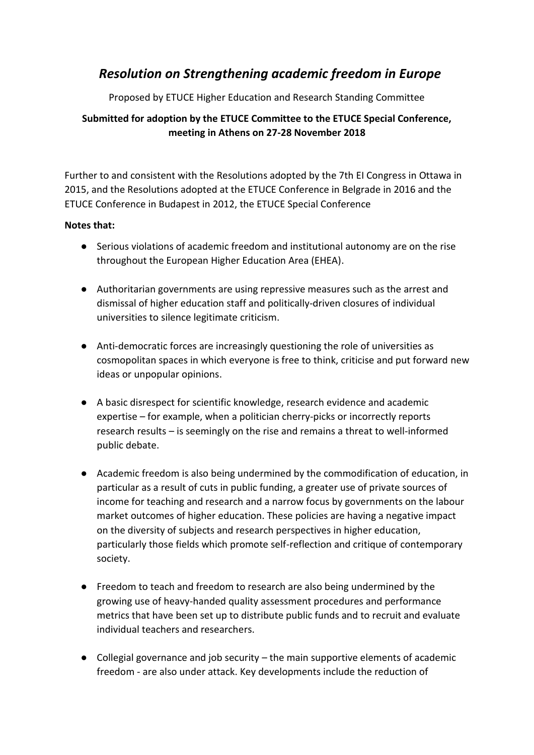# *Resolution on Strengthening academic freedom in Europe*

Proposed by ETUCE Higher Education and Research Standing Committee

## **Submitted for adoption by the ETUCE Committee to the ETUCE Special Conference, meeting in Athens on 27-28 November 2018**

Further to and consistent with the Resolutions adopted by the 7th EI Congress in Ottawa in 2015, and the Resolutions adopted at the ETUCE Conference in Belgrade in 2016 and the ETUCE Conference in Budapest in 2012, the ETUCE Special Conference

### **Notes that:**

- Serious violations of academic freedom and institutional autonomy are on the rise throughout the European Higher Education Area (EHEA).
- Authoritarian governments are using repressive measures such as the arrest and dismissal of higher education staff and politically-driven closures of individual universities to silence legitimate criticism.
- Anti-democratic forces are increasingly questioning the role of universities as cosmopolitan spaces in which everyone is free to think, criticise and put forward new ideas or unpopular opinions.
- A basic disrespect for scientific knowledge, research evidence and academic expertise – for example, when a politician cherry-picks or incorrectly reports research results – is seemingly on the rise and remains a threat to well-informed public debate.
- Academic freedom is also being undermined by the commodification of education, in particular as a result of cuts in public funding, a greater use of private sources of income for teaching and research and a narrow focus by governments on the labour market outcomes of higher education. These policies are having a negative impact on the diversity of subjects and research perspectives in higher education, particularly those fields which promote self-reflection and critique of contemporary society.
- Freedom to teach and freedom to research are also being undermined by the growing use of heavy-handed quality assessment procedures and performance metrics that have been set up to distribute public funds and to recruit and evaluate individual teachers and researchers.
- Collegial governance and job security the main supportive elements of academic freedom - are also under attack. Key developments include the reduction of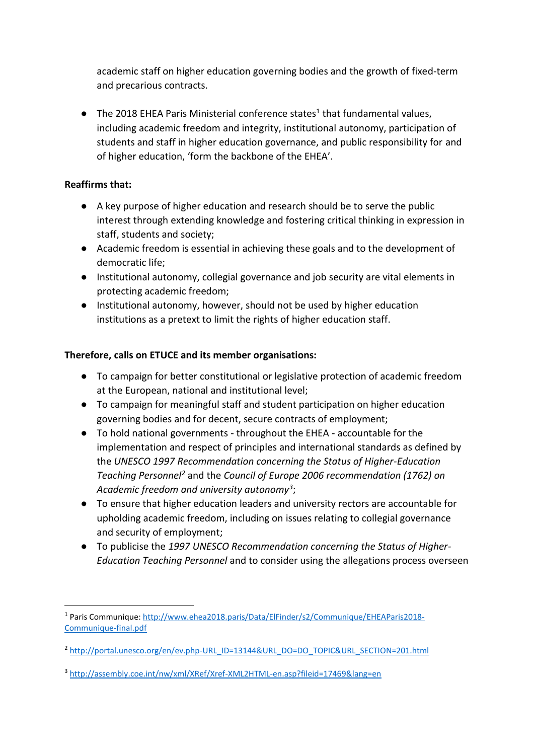academic staff on higher education governing bodies and the growth of fixed-term and precarious contracts.

 $\bullet$  The 2018 EHEA Paris Ministerial conference states<sup>1</sup> that fundamental values, including academic freedom and integrity, institutional autonomy, participation of students and staff in higher education governance, and public responsibility for and of higher education, 'form the backbone of the EHEA'.

### **Reaffirms that:**

 $\overline{a}$ 

- A key purpose of higher education and research should be to serve the public interest through extending knowledge and fostering critical thinking in expression in staff, students and society;
- Academic freedom is essential in achieving these goals and to the development of democratic life;
- Institutional autonomy, collegial governance and job security are vital elements in protecting academic freedom;
- Institutional autonomy, however, should not be used by higher education institutions as a pretext to limit the rights of higher education staff.

### **Therefore, calls on ETUCE and its member organisations:**

- To campaign for better constitutional or legislative protection of academic freedom at the European, national and institutional level;
- To campaign for meaningful staff and student participation on higher education governing bodies and for decent, secure contracts of employment;
- To hold national governments throughout the EHEA accountable for the implementation and respect of principles and international standards as defined by the *UNESCO 1997 Recommendation concerning the Status of Higher-Education Teaching Personnel<sup>2</sup>* and the *Council of Europe 2006 recommendation (1762) on Academic freedom and university autonomy<sup>3</sup>* ;
- To ensure that higher education leaders and university rectors are accountable for upholding academic freedom, including on issues relating to collegial governance and security of employment;
- To publicise the *1997 UNESCO Recommendation concerning the Status of Higher-Education Teaching Personnel* and to consider using the allegations process overseen

<sup>&</sup>lt;sup>1</sup> Paris Communique[: http://www.ehea2018.paris/Data/ElFinder/s2/Communique/EHEAParis2018-](http://www.ehea2018.paris/Data/ElFinder/s2/Communique/EHEAParis2018-Communique-final.pdf) [Communique-final.pdf](http://www.ehea2018.paris/Data/ElFinder/s2/Communique/EHEAParis2018-Communique-final.pdf)

<sup>&</sup>lt;sup>2</sup> [http://portal.unesco.org/en/ev.php-URL\\_ID=13144&URL\\_DO=DO\\_TOPIC&URL\\_SECTION=201.html](http://portal.unesco.org/en/ev.php-URL_ID=13144&URL_DO=DO_TOPIC&URL_SECTION=201.html)

<sup>3</sup> <http://assembly.coe.int/nw/xml/XRef/Xref-XML2HTML-en.asp?fileid=17469&lang=en>